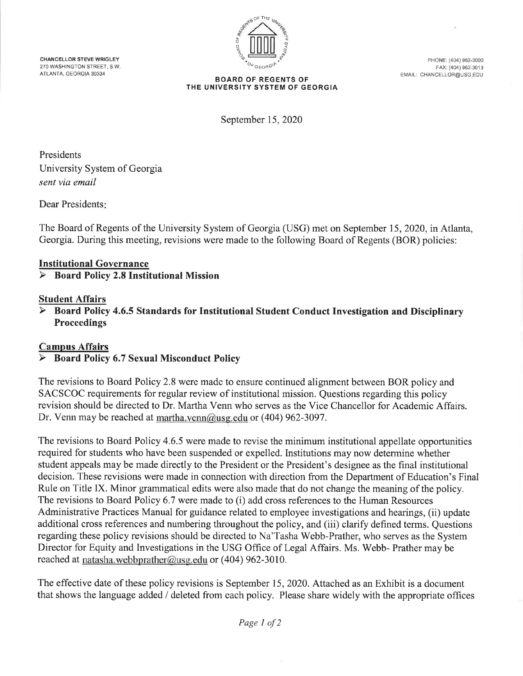**CHANCELLOR STEVE WRIGLEY** 270 WASHINGTON STREET S.W. ATLANTA, GEORGIA 30334



PHONE: (404) 962-3000 FAX: (404) 962-3013 EMAIL: CHANCELLOR@USG.EDU

#### **BOARD OF REGENTS OF** THE UNIVERSITY SYSTEM OF GEORGIA

September 15, 2020

Presidents University System of Georgia sent via email

Dear Presidents:

The Board of Regents of the University System of Georgia (USG) met on September 15, 2020, in Atlanta, Georgia. During this meeting, revisions were made to the following Board of Regents (BOR) policies:

## **Institutional Governance**

#### **Board Policy 2.8 Institutional Mission** ➤

## **Student Affairs**

Board Policy 4.6.5 Standards for Institutional Student Conduct Investigation and Disciplinary **Proceedings** 

## **Campus Affairs**

#### **Board Policy 6.7 Sexual Misconduct Policy**  $\blacktriangleright$

The revisions to Board Policy 2.8 were made to ensure continued alignment between BOR policy and SACSCOC requirements for regular review of institutional mission. Questions regarding this policy revision should be directed to Dr. Martha Venn who serves as the Vice Chancellor for Academic Affairs. Dr. Venn may be reached at martha.venn@usg.edu or (404) 962-3097.

The revisions to Board Policy 4.6.5 were made to revise the minimum institutional appellate opportunities required for students who have been suspended or expelled. Institutions may now determine whether student appeals may be made directly to the President or the President's designee as the final institutional decision. These revisions were made in connection with direction from the Department of Education's Final Rule on Title IX. Minor grammatical edits were also made that do not change the meaning of the policy. The revisions to Board Policy 6.7 were made to (i) add cross references to the Human Resources Administrative Practices Manual for guidance related to employee investigations and hearings, (ii) update additional cross references and numbering throughout the policy, and (iii) clarify defined terms. Questions regarding these policy revisions should be directed to Na'Tasha Webb-Prather, who serves as the System Director for Equity and Investigations in the USG Office of Legal Affairs. Ms. Webb- Prather may be reached at natasha.webbprather@usg.edu or (404) 962-3010.

The effective date of these policy revisions is September 15, 2020. Attached as an Exhibit is a document that shows the language added / deleted from each policy. Please share widely with the appropriate offices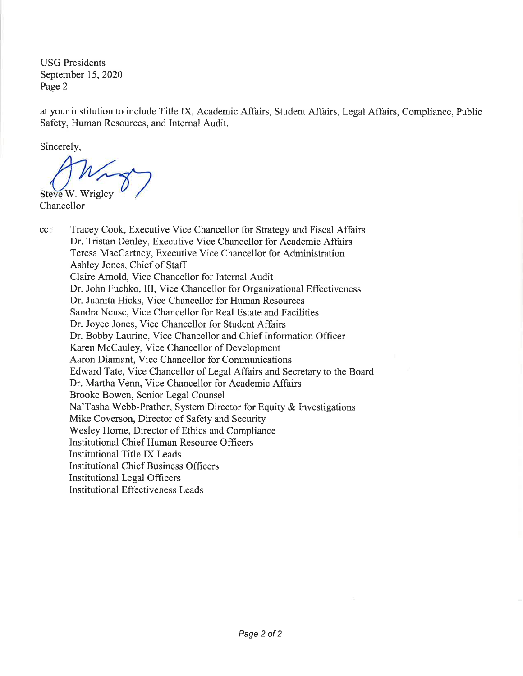**USG** Presidents September 15, 2020 Page 2

at your institution to include Title IX, Academic Affairs, Student Affairs, Legal Affairs, Compliance, Public Safety, Human Resources, and Internal Audit.

Sincerely,

Steve W. Wrigley

Chancellor

cc: Tracey Cook, Executive Vice Chancellor for Strategy and Fiscal Affairs Dr. Tristan Denley, Executive Vice Chancellor for Academic Affairs Teresa MacCartney, Executive Vice Chancellor for Administration Ashley Jones, Chief of Staff Claire Arnold, Vice Chancellor for Internal Audit Dr. John Fuchko, III, Vice Chancellor for Organizational Effectiveness Dr. Juanita Hicks, Vice Chancellor for Human Resources Sandra Neuse, Vice Chancellor for Real Estate and Facilities Dr. Joyce Jones, Vice Chancellor for Student Affairs Dr. Bobby Laurine, Vice Chancellor and Chief Information Officer Karen McCauley, Vice Chancellor of Development Aaron Diamant, Vice Chancellor for Communications Edward Tate, Vice Chancellor of Legal Affairs and Secretary to the Board Dr. Martha Venn, Vice Chancellor for Academic Affairs Brooke Bowen, Senior Legal Counsel Na'Tasha Webb-Prather, System Director for Equity & Investigations Mike Coverson, Director of Safety and Security Wesley Horne, Director of Ethics and Compliance Institutional Chief Human Resource Officers **Institutional Title IX Leads Institutional Chief Business Officers Institutional Legal Officers Institutional Effectiveness Leads**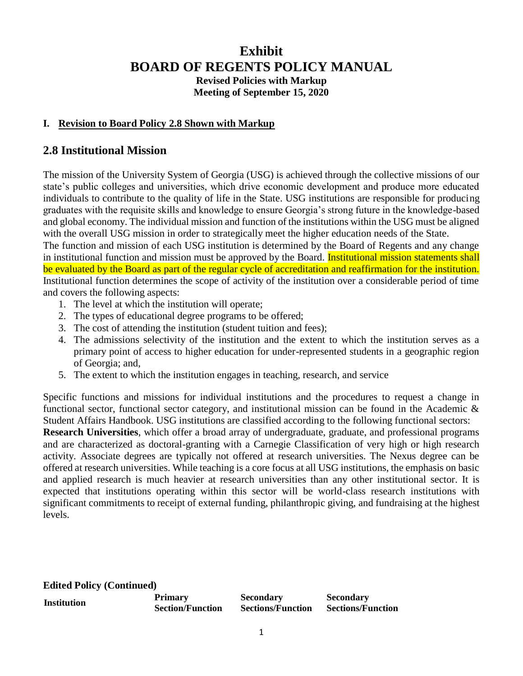# **Exhibit BOARD OF REGENTS POLICY MANUAL Revised Policies with Markup Meeting of September 15, 2020**

## **I. Revision to Board Policy 2.8 Shown with Markup**

## **2.8 Institutional Mission**

The mission of the University System of Georgia (USG) is achieved through the collective missions of our state's public colleges and universities, which drive economic development and produce more educated individuals to contribute to the quality of life in the State. USG institutions are responsible for producing graduates with the requisite skills and knowledge to ensure Georgia's strong future in the knowledge-based and global economy. The individual mission and function of the institutions within the USG must be aligned with the overall USG mission in order to strategically meet the higher education needs of the State.

The function and mission of each USG institution is determined by the Board of Regents and any change in institutional function and mission must be approved by the Board. Institutional mission statements shall be evaluated by the Board as part of the regular cycle of accreditation and reaffirmation for the institution. Institutional function determines the scope of activity of the institution over a considerable period of time and covers the following aspects:

- 1. The level at which the institution will operate;
- 2. The types of educational degree programs to be offered;
- 3. The cost of attending the institution (student tuition and fees);
- 4. The admissions selectivity of the institution and the extent to which the institution serves as a primary point of access to higher education for under-represented students in a geographic region of Georgia; and,
- 5. The extent to which the institution engages in teaching, research, and service

Specific functions and missions for individual institutions and the procedures to request a change in functional sector, functional sector category, and institutional mission can be found in the Academic & Student Affairs Handbook. USG institutions are classified according to the following functional sectors:

**Research Universities**, which offer a broad array of undergraduate, graduate, and professional programs and are characterized as doctoral-granting with a Carnegie Classification of very high or high research activity. Associate degrees are typically not offered at research universities. The Nexus degree can be offered at research universities. While teaching is a core focus at all USG institutions, the emphasis on basic and applied research is much heavier at research universities than any other institutional sector. It is expected that institutions operating within this sector will be world-class research institutions with significant commitments to receipt of external funding, philanthropic giving, and fundraising at the highest levels.

**Edited Policy (Continued)**

| <b>Institution</b> | <b>Primary</b>          | <b>Secondary</b>         | <b>Secondary</b>         |
|--------------------|-------------------------|--------------------------|--------------------------|
|                    | <b>Section/Function</b> | <b>Sections/Function</b> | <b>Sections/Function</b> |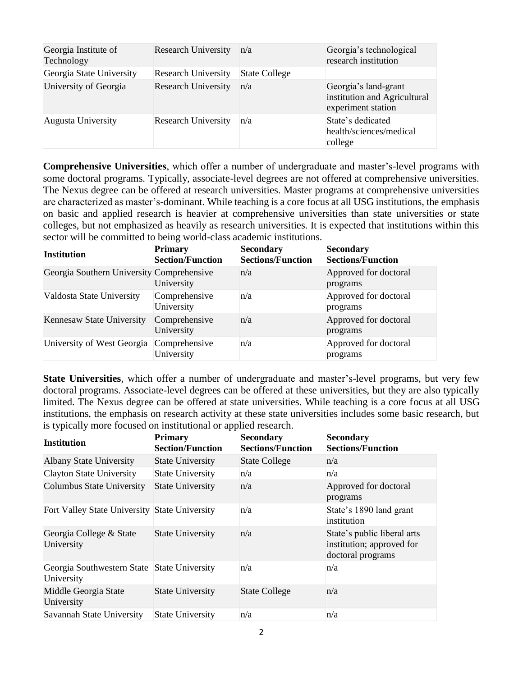| Georgia Institute of<br>Technology | <b>Research University</b> | n/a                  | Georgia's technological<br>research institution                            |
|------------------------------------|----------------------------|----------------------|----------------------------------------------------------------------------|
| Georgia State University           | <b>Research University</b> | <b>State College</b> |                                                                            |
| University of Georgia              | <b>Research University</b> | n/a                  | Georgia's land-grant<br>institution and Agricultural<br>experiment station |
| Augusta University                 | <b>Research University</b> | n/a                  | State's dedicated<br>health/sciences/medical<br>college                    |

**Comprehensive Universities**, which offer a number of undergraduate and master's-level programs with some doctoral programs. Typically, associate-level degrees are not offered at comprehensive universities. The Nexus degree can be offered at research universities. Master programs at comprehensive universities are characterized as master's-dominant. While teaching is a core focus at all USG institutions, the emphasis on basic and applied research is heavier at comprehensive universities than state universities or state colleges, but not emphasized as heavily as research universities. It is expected that institutions within this sector will be committed to being world-class academic institutions.

| <b>Institution</b>                        | <b>Primary</b><br><b>Section/Function</b> | <b>Secondary</b><br><b>Sections/Function</b> | <b>Secondary</b><br><b>Sections/Function</b> |
|-------------------------------------------|-------------------------------------------|----------------------------------------------|----------------------------------------------|
| Georgia Southern University Comprehensive | University                                | n/a                                          | Approved for doctoral<br>programs            |
| Valdosta State University                 | Comprehensive<br>University               | n/a                                          | Approved for doctoral<br>programs            |
| Kennesaw State University                 | Comprehensive<br>University               | n/a                                          | Approved for doctoral<br>programs            |
| University of West Georgia                | Comprehensive<br>University               | n/a                                          | Approved for doctoral<br>programs            |

**State Universities**, which offer a number of undergraduate and master's-level programs, but very few doctoral programs. Associate-level degrees can be offered at these universities, but they are also typically limited. The Nexus degree can be offered at state universities. While teaching is a core focus at all USG institutions, the emphasis on research activity at these state universities includes some basic research, but is typically more focused on institutional or applied research.

| <b>Institution</b>                                        | <b>Primary</b><br><b>Section/Function</b> | <b>Secondary</b><br><b>Sections/Function</b> | <b>Secondary</b><br><b>Sections/Function</b>                                  |
|-----------------------------------------------------------|-------------------------------------------|----------------------------------------------|-------------------------------------------------------------------------------|
| <b>Albany State University</b>                            | <b>State University</b>                   | <b>State College</b>                         | n/a                                                                           |
| Clayton State University                                  | <b>State University</b>                   | n/a                                          | n/a                                                                           |
| Columbus State University                                 | <b>State University</b>                   | n/a                                          | Approved for doctoral<br>programs                                             |
| Fort Valley State University State University             |                                           | n/a                                          | State's 1890 land grant<br>institution                                        |
| Georgia College & State<br>University                     | <b>State University</b>                   | n/a                                          | State's public liberal arts<br>institution; approved for<br>doctoral programs |
| Georgia Southwestern State State University<br>University |                                           | n/a                                          | n/a                                                                           |
| Middle Georgia State<br>University                        | <b>State University</b>                   | <b>State College</b>                         | n/a                                                                           |
| Savannah State University                                 | <b>State University</b>                   | n/a                                          | n/a                                                                           |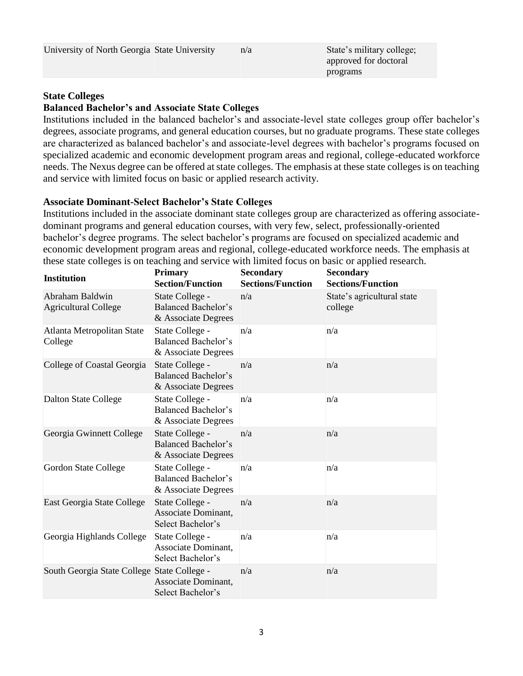| University of North Georgia State University<br>n/a<br>approved for doctoral<br>programs | State's military college; |
|------------------------------------------------------------------------------------------|---------------------------|
|------------------------------------------------------------------------------------------|---------------------------|

## **State Colleges**

### **Balanced Bachelor's and Associate State Colleges**

Institutions included in the balanced bachelor's and associate-level state colleges group offer bachelor's degrees, associate programs, and general education courses, but no graduate programs. These state colleges are characterized as balanced bachelor's and associate-level degrees with bachelor's programs focused on specialized academic and economic development program areas and regional, college-educated workforce needs. The Nexus degree can be offered at state colleges. The emphasis at these state colleges is on teaching and service with limited focus on basic or applied research activity.

### **Associate Dominant-Select Bachelor's State Colleges**

Institutions included in the associate dominant state colleges group are characterized as offering associatedominant programs and general education courses, with very few, select, professionally-oriented bachelor's degree programs. The select bachelor's programs are focused on specialized academic and economic development program areas and regional, college-educated workforce needs. The emphasis at these state colleges is on teaching and service with limited focus on basic or applied research.

| <b>Institution</b>                             | <b>Primary</b><br><b>Section/Function</b>                            | <b>Secondary</b><br><b>Sections/Function</b> | <b>Secondary</b><br><b>Sections/Function</b> |
|------------------------------------------------|----------------------------------------------------------------------|----------------------------------------------|----------------------------------------------|
| Abraham Baldwin<br><b>Agricultural College</b> | State College -<br><b>Balanced Bachelor's</b><br>& Associate Degrees | n/a                                          | State's agricultural state<br>college        |
| Atlanta Metropolitan State<br>College          | State College -<br><b>Balanced Bachelor's</b><br>& Associate Degrees | n/a                                          | n/a                                          |
| College of Coastal Georgia                     | State College -<br>Balanced Bachelor's<br>& Associate Degrees        | n/a                                          | n/a                                          |
| <b>Dalton State College</b>                    | State College -<br><b>Balanced Bachelor's</b><br>& Associate Degrees | n/a                                          | n/a                                          |
| Georgia Gwinnett College                       | State College -<br><b>Balanced Bachelor's</b><br>& Associate Degrees | n/a                                          | n/a                                          |
| Gordon State College                           | State College -<br><b>Balanced Bachelor's</b><br>& Associate Degrees | n/a                                          | n/a                                          |
| East Georgia State College                     | State College -<br>Associate Dominant,<br>Select Bachelor's          | n/a                                          | n/a                                          |
| Georgia Highlands College                      | State College -<br>Associate Dominant,<br>Select Bachelor's          | n/a                                          | n/a                                          |
| South Georgia State College State College -    | Associate Dominant,<br>Select Bachelor's                             | n/a                                          | n/a                                          |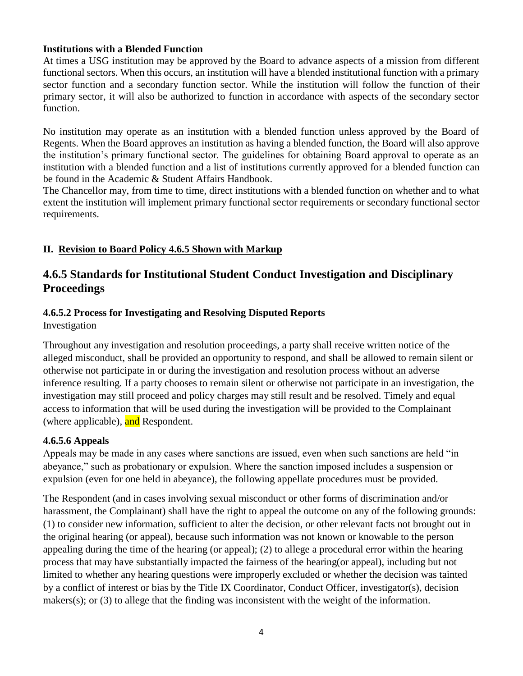## **Institutions with a Blended Function**

At times a USG institution may be approved by the Board to advance aspects of a mission from different functional sectors. When this occurs, an institution will have a blended institutional function with a primary sector function and a secondary function sector. While the institution will follow the function of their primary sector, it will also be authorized to function in accordance with aspects of the secondary sector function.

No institution may operate as an institution with a blended function unless approved by the Board of Regents. When the Board approves an institution as having a blended function, the Board will also approve the institution's primary functional sector. The guidelines for obtaining Board approval to operate as an institution with a blended function and a list of institutions currently approved for a blended function can be found in the Academic & Student Affairs Handbook.

The Chancellor may, from time to time, direct institutions with a blended function on whether and to what extent the institution will implement primary functional sector requirements or secondary functional sector requirements.

## **II. Revision to Board Policy 4.6.5 Shown with Markup**

# **4.6.5 Standards for Institutional Student Conduct Investigation and Disciplinary Proceedings**

## **4.6.5.2 Process for Investigating and Resolving Disputed Reports**

Investigation

Throughout any investigation and resolution proceedings, a party shall receive written notice of the alleged misconduct, shall be provided an opportunity to respond, and shall be allowed to remain silent or otherwise not participate in or during the investigation and resolution process without an adverse inference resulting. If a party chooses to remain silent or otherwise not participate in an investigation, the investigation may still proceed and policy charges may still result and be resolved. Timely and equal access to information that will be used during the investigation will be provided to the Complainant (where applicable), and Respondent.

## **4.6.5.6 Appeals**

Appeals may be made in any cases where sanctions are issued, even when such sanctions are held "in abeyance," such as probationary or expulsion. Where the sanction imposed includes a suspension or expulsion (even for one held in abeyance), the following appellate procedures must be provided.

The Respondent (and in cases involving sexual misconduct or other forms of discrimination and/or harassment, the Complainant) shall have the right to appeal the outcome on any of the following grounds: (1) to consider new information, sufficient to alter the decision, or other relevant facts not brought out in the original hearing (or appeal), because such information was not known or knowable to the person appealing during the time of the hearing (or appeal); (2) to allege a procedural error within the hearing process that may have substantially impacted the fairness of the hearing(or appeal), including but not limited to whether any hearing questions were improperly excluded or whether the decision was tainted by a conflict of interest or bias by the Title IX Coordinator, Conduct Officer, investigator(s), decision makers(s); or (3) to allege that the finding was inconsistent with the weight of the information.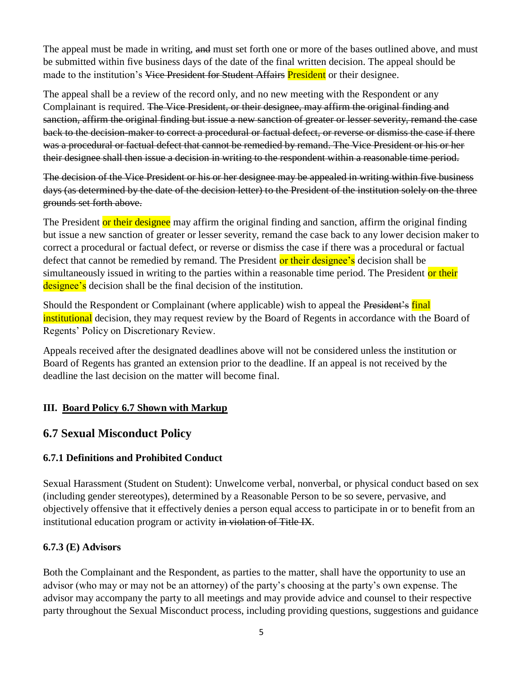The appeal must be made in writing, and must set forth one or more of the bases outlined above, and must be submitted within five business days of the date of the final written decision. The appeal should be made to the institution's Vice President for Student Affairs President or their designee.

The appeal shall be a review of the record only, and no new meeting with the Respondent or any Complainant is required. The Vice President, or their designee, may affirm the original finding and sanction, affirm the original finding but issue a new sanction of greater or lesser severity, remand the case back to the decision-maker to correct a procedural or factual defect, or reverse or dismiss the case if there was a procedural or factual defect that cannot be remedied by remand. The Vice President or his or her their designee shall then issue a decision in writing to the respondent within a reasonable time period.

The decision of the Vice President or his or her designee may be appealed in writing within five business days (as determined by the date of the decision letter) to the President of the institution solely on the three grounds set forth above.

The President or their designee may affirm the original finding and sanction, affirm the original finding but issue a new sanction of greater or lesser severity, remand the case back to any lower decision maker to correct a procedural or factual defect, or reverse or dismiss the case if there was a procedural or factual defect that cannot be remedied by remand. The President or their designee's decision shall be simultaneously issued in writing to the parties within a reasonable time period. The President or their designee's decision shall be the final decision of the institution.

Should the Respondent or Complainant (where applicable) wish to appeal the President's final institutional decision, they may request review by the Board of Regents in accordance with the Board of Regents' Policy on Discretionary Review.

Appeals received after the designated deadlines above will not be considered unless the institution or Board of Regents has granted an extension prior to the deadline. If an appeal is not received by the deadline the last decision on the matter will become final.

## **III. Board Policy 6.7 Shown with Markup**

## **6.7 Sexual Misconduct Policy**

## **6.7.1 Definitions and Prohibited Conduct**

Sexual Harassment (Student on Student): Unwelcome verbal, nonverbal, or physical conduct based on sex (including gender stereotypes), determined by a Reasonable Person to be so severe, pervasive, and objectively offensive that it effectively denies a person equal access to participate in or to benefit from an institutional education program or activity in violation of Title IX.

## **6.7.3 (E) Advisors**

Both the Complainant and the Respondent, as parties to the matter, shall have the opportunity to use an advisor (who may or may not be an attorney) of the party's choosing at the party's own expense. The advisor may accompany the party to all meetings and may provide advice and counsel to their respective party throughout the Sexual Misconduct process, including providing questions, suggestions and guidance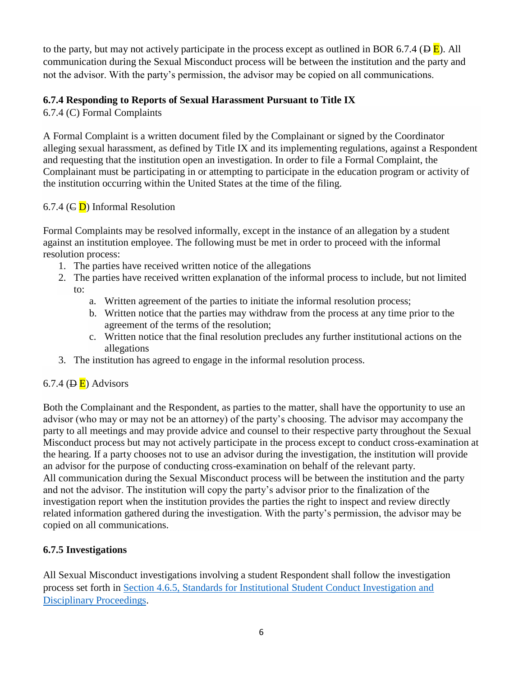to the party, but may not actively participate in the process except as outlined in BOR 6.7.4 ( $\overline{B}$ ). All communication during the Sexual Misconduct process will be between the institution and the party and not the advisor. With the party's permission, the advisor may be copied on all communications.

## **6.7.4 Responding to Reports of Sexual Harassment Pursuant to Title IX**

6.7.4 (C) Formal Complaints

A Formal Complaint is a written document filed by the Complainant or signed by the Coordinator alleging sexual harassment, as defined by Title IX and its implementing regulations, against a Respondent and requesting that the institution open an investigation. In order to file a Formal Complaint, the Complainant must be participating in or attempting to participate in the education program or activity of the institution occurring within the United States at the time of the filing.

## 6.7.4 ( $\in$  D) Informal Resolution

Formal Complaints may be resolved informally, except in the instance of an allegation by a student against an institution employee. The following must be met in order to proceed with the informal resolution process:

- 1. The parties have received written notice of the allegations
- 2. The parties have received written explanation of the informal process to include, but not limited to:
	- a. Written agreement of the parties to initiate the informal resolution process;
	- b. Written notice that the parties may withdraw from the process at any time prior to the agreement of the terms of the resolution;
	- c. Written notice that the final resolution precludes any further institutional actions on the allegations
- 3. The institution has agreed to engage in the informal resolution process.

## 6.7.4 ( $\overline{B}$ ) Advisors

Both the Complainant and the Respondent, as parties to the matter, shall have the opportunity to use an advisor (who may or may not be an attorney) of the party's choosing. The advisor may accompany the party to all meetings and may provide advice and counsel to their respective party throughout the Sexual Misconduct process but may not actively participate in the process except to conduct cross-examination at the hearing. If a party chooses not to use an advisor during the investigation, the institution will provide an advisor for the purpose of conducting cross-examination on behalf of the relevant party. All communication during the Sexual Misconduct process will be between the institution and the party and not the advisor. The institution will copy the party's advisor prior to the finalization of the investigation report when the institution provides the parties the right to inspect and review directly related information gathered during the investigation. With the party's permission, the advisor may be copied on all communications.

## **6.7.5 Investigations**

All Sexual Misconduct investigations involving a student Respondent shall follow the investigation process set forth in [Section 4.6.5, Standards for Institutional Student Conduct Investigation and](https://www.usg.edu/policymanual/section4/C332/#p4.6.5_standards_for_institutional_student_conduct_investigation)  [Disciplinary Proceedings.](https://www.usg.edu/policymanual/section4/C332/#p4.6.5_standards_for_institutional_student_conduct_investigation)